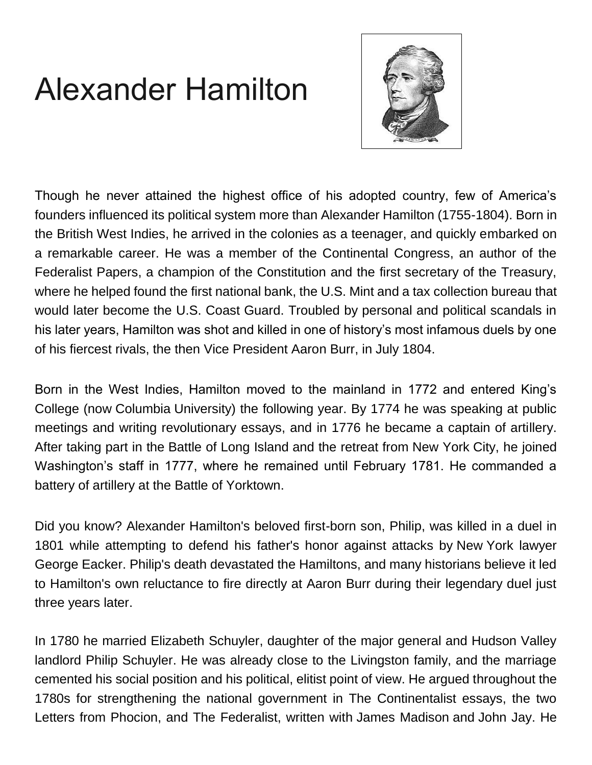# Alexander Hamilton



Though he never attained the highest office of his adopted country, few of America's founders influenced its political system more than Alexander Hamilton (1755-1804). Born in the British West Indies, he arrived in the colonies as a teenager, and quickly embarked on a remarkable career. He was a member of the Continental Congress, an author of the Federalist Papers, a champion of the Constitution and the first secretary of the Treasury, where he helped found the first national bank, the U.S. Mint and a tax collection bureau that would later become the U.S. Coast Guard. Troubled by personal and political scandals in his later years, Hamilton was shot and killed in one of history's most infamous duels by one of his fiercest rivals, the then Vice President Aaron Burr, in July 1804.

Born in the West Indies, Hamilton moved to the mainland in 1772 and entered King's College (now [Columbia](http://i.viglink.com/?key=1b475e2d3e085f0ff12aad1dcf010a10&insertId=f04bb7b7c939975e&type=KW&exp=-1%3Ana%3A0&libId=jsm5pbx00102pane000DAbnj68gze&loc=https%3A%2F%2Fwww.history.com%2Ftopics%2Famerican-revolution%2Falexander-hamilton&v=1&iid=f04bb7b7c939975e&opt=true&out=https%3A%2F%2Fwww.brownells.com%2Fsearch%2Findex.htm%3Fk%3Dcolumbia&ref=https%3A%2F%2Fwww.google.com%2F&title=Alexander%20Hamilton%20-%20HISTORY&txt=%3Cspan%3EColumbia%3C%2Fspan%3E) University) the following year. By 1774 he was speaking at public meetings and writing revolutionary essays, and in 1776 he became a captain of artillery. After taking part in the [Battle of Long Island](https://www.history.com/topics/american-revolution/battle-of-long-island) and the retreat from [New York](https://www.history.com/topics/us-states/new-york) City, he joined Washington's staff in 1777, where he remained until February 1781. He commanded a battery of artillery at the Battle of Yorktown.

Did you know? Alexander Hamilton's beloved first-born son, Philip, was killed in a duel in 1801 while attempting to defend his father's honor against attacks by New [York](http://i.viglink.com/?key=1b475e2d3e085f0ff12aad1dcf010a10&insertId=0a7f7e166e23f7c3&type=KW&exp=-1%3Ana%3A0&libId=jsm5pbx00102pane000DAbnj68gze&loc=https%3A%2F%2Fwww.history.com%2Ftopics%2Famerican-revolution%2Falexander-hamilton&v=1&iid=0a7f7e166e23f7c3&opt=true&out=https%3A%2F%2Fwww.walmart.com%2Fsearch%2F%3Fquery%3Dnew%2Byork&ref=https%3A%2F%2Fwww.google.com%2F&title=Alexander%20Hamilton%20-%20HISTORY&txt=%3Cspan%3ENew%20%3C%2Fspan%3E%3Cspan%3EYork%3C%2Fspan%3E) lawyer George Eacker. Philip's death devastated the Hamiltons, and many historians believe it led to Hamilton's own reluctance to fire directly at Aaron Burr during their legendary duel just three years later.

In 1780 he married Elizabeth Schuyler, daughter of the major general and Hudson Valley landlord Philip Schuyler. He was already close to the Livingston family, and the marriage cemented his social position and his political, elitist point of view. He argued throughout the 1780s for strengthening the national government in The Continentalist essays, the two Letters from Phocion, and The Federalist, written with [James Madison](https://www.history.com/topics/us-presidents/james-madison) and [John Jay.](https://www.history.com/topics/john-jay) He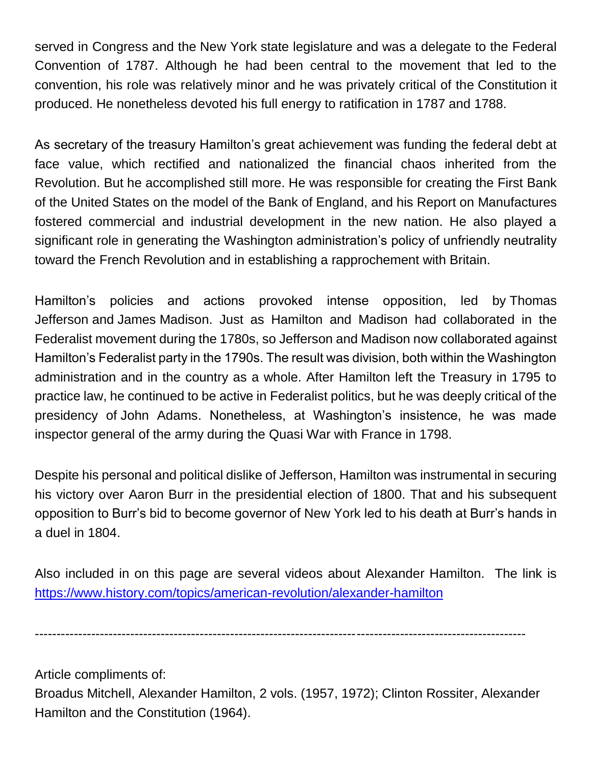served in Congress and the New York state legislature and was a delegate to the Federal Convention of 1787. Although he had been central to the movement that led to the convention, his role was relatively minor and he was privately critical of the [Constitution](https://www.history.com/topics/constitution) it produced. He nonetheless devoted his full energy to ratification in 1787 and 1788.

As secretary of the treasury Hamilton's great achievement was funding the federal debt at face value, which rectified and nationalized the financial chaos inherited from the Revolution. But he accomplished still more. He was responsible for creating the First [Bank](https://www.history.com/topics/bank-of-the-united-states)  [of the United States](https://www.history.com/topics/bank-of-the-united-states) on the model of the Bank of England, and his Report on Manufactures fostered commercial and industrial development in the new nation. He also played a significant role in generating the [Washington](https://www.history.com/topics/us-states/washington) administration's policy of unfriendly neutrality toward the [French Revolution](https://www.history.com/topics/french-revolution) and in establishing a rapprochement with Britain.

Hamilton's policies and actions provoked intense opposition, led by [Thomas](https://www.history.com/topics/us-presidents/thomas-jefferson)  [Jefferson](https://www.history.com/topics/us-presidents/thomas-jefferson) and James [Madison.](http://i.viglink.com/?key=1b475e2d3e085f0ff12aad1dcf010a10&insertId=67170236229659ee&type=KW&exp=-1%3Ana%3A0&libId=jsm5pbx00102pane000DAbnj68gze&loc=https%3A%2F%2Fwww.history.com%2Ftopics%2Famerican-revolution%2Falexander-hamilton&v=1&iid=67170236229659ee&opt=true&out=https%3A%2F%2Fwww.walmart.com%2Fsearch%2F%3Fquery%3DJames%2BMadison&ref=https%3A%2F%2Fwww.google.com%2F&title=Alexander%20Hamilton%20-%20HISTORY&txt=%3Cspan%3EJames%20%3C%2Fspan%3E%3Cspan%3EMadison%3C%2Fspan%3E) Just as Hamilton and Madison had collaborated in the Federalist movement during the 1780s, so Jefferson and Madison now collaborated against Hamilton's Federalist party in the 1790s. The result was division, both within the Washington administration and in the country as a whole. After Hamilton left the Treasury in 1795 to practice law, he continued to be active in Federalist politics, but he was deeply critical of the presidency of [John Adams.](https://www.history.com/topics/us-presidents/john-adams) Nonetheless, at Washington's insistence, he was made inspector general of the army during the Quasi War with France in 1798.

Despite his personal and political dislike of Jefferson, Hamilton was instrumental in securing his victory over Aaron Burr in the presidential election of 1800. That and his subsequent opposition to Burr's bid to become governor of New York led to his death at Burr's hands in a duel in 1804.

Also included in on this page are several videos about Alexander Hamilton. The link is <https://www.history.com/topics/american-revolution/alexander-hamilton>

-----------------------------------------------------------------------------------------------------------------

Article compliments of:

Broadus Mitchell, Alexander Hamilton, 2 vols. (1957, 1972); Clinton Rossiter, Alexander Hamilton and the Constitution (1964).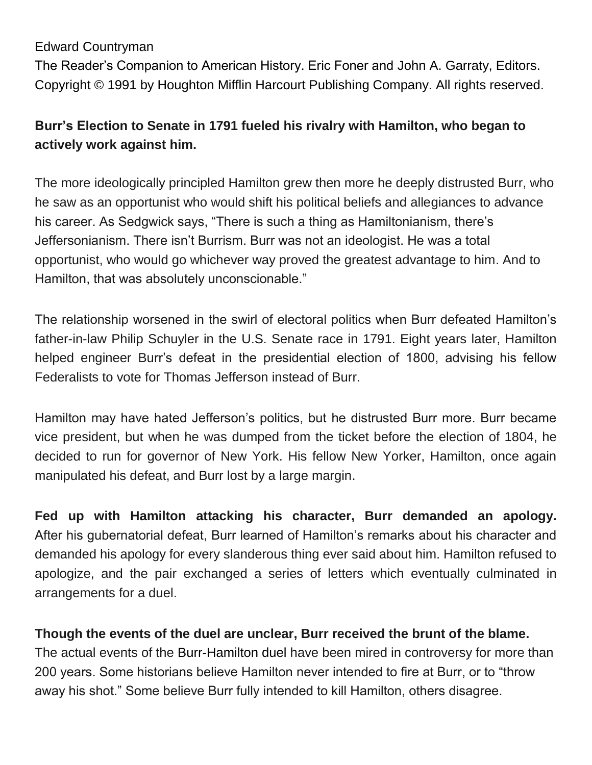### Edward Countryman

The Reader's Companion to American History. Eric Foner and John A. Garraty, Editors. Copyright © 1991 by Houghton Mifflin Harcourt Publishing Company. All rights reserved.

## **Burr's Election to Senate in 1791 fueled his rivalry with Hamilton, who began to actively work against him.**

The more ideologically principled Hamilton grew then more he deeply distrusted Burr, who he saw as an opportunist who would shift his political beliefs and allegiances to advance his career. As Sedgwick says, "There is such a thing as Hamiltonianism, there's Jeffersonianism. There isn't Burrism. Burr was not an ideologist. He was a total opportunist, who would go whichever way proved the greatest advantage to him. And to Hamilton, that was absolutely unconscionable."

The relationship worsened in the swirl of electoral politics when Burr defeated Hamilton's father-in-law Philip Schuyler in the U.S. Senate race in 1791. Eight years later, Hamilton helped engineer Burr's defeat in the presidential election of 1800, advising his fellow Federalists to vote for Thomas Jefferson instead of Burr.

Hamilton may have hated Jefferson's politics, but he distrusted Burr more. Burr became vice president, but when he was dumped from the ticket before the election of 1804, he decided to run for governor of New York. His fellow New Yorker, Hamilton, once again manipulated his defeat, and Burr lost by a large margin.

**Fed up with Hamilton attacking his character, Burr demanded an apology.** After his gubernatorial defeat, Burr learned of Hamilton's remarks about his character and demanded his apology for every slanderous thing ever said about him. Hamilton refused to apologize, and the pair exchanged a series of letters which eventually culminated in arrangements for a duel.

## **Though the events of the duel are unclear, Burr received the brunt of the blame.**

The actual events of the [Burr-Hamilton duel](https://www.history.com/this-day-in-history/burr-slays-hamilton-in-duel) have been mired in controversy for more than 200 years. Some historians believe Hamilton never intended to fire at Burr, or to "throw away his shot." Some believe Burr fully intended to kill Hamilton, others disagree.